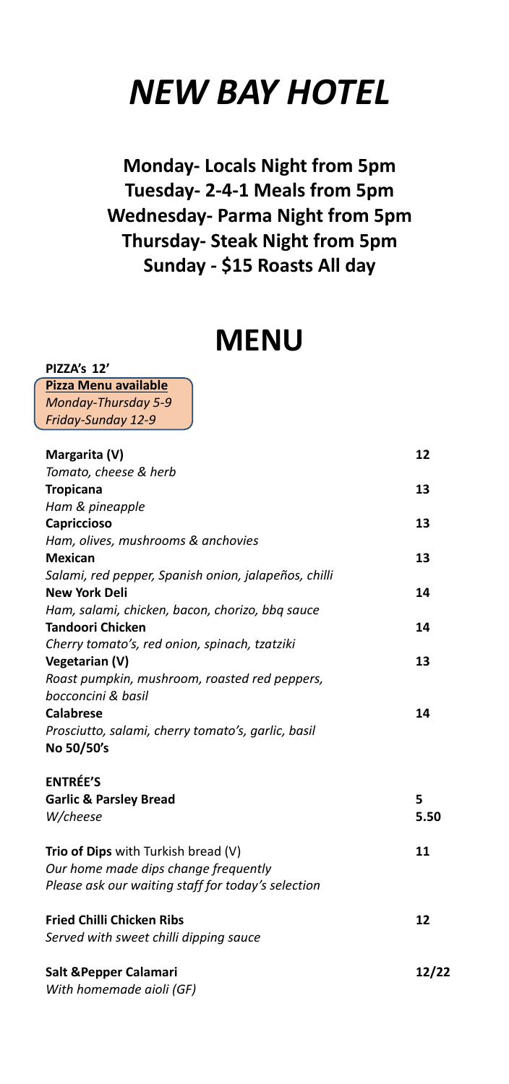# *NEW BAY HOTEL*

**Monday‐ Locals Night from 5pm Tuesday‐ 2‐4‐1 Meals from 5pm Wednesday‐ Parma Night from 5pm Thursday‐ Steak Night from 5pm Sunday ‐ \$15 Roasts All day**

# **MENU**

**PIZZA's 12' Pizza Menu available** *Monday‐Thursday 5‐9 Friday‐Sunday 12‐9*

| Margarita (V)                                        | 12    |
|------------------------------------------------------|-------|
| Tomato, cheese & herb                                |       |
| <b>Tropicana</b>                                     | 13    |
| Ham & pineapple                                      |       |
| Capriccioso                                          | 13    |
| Ham, olives, mushrooms & anchovies                   |       |
| <b>Mexican</b>                                       | 13    |
| Salami, red pepper, Spanish onion, jalapeños, chilli |       |
| <b>New York Deli</b>                                 | 14    |
| Ham, salami, chicken, bacon, chorizo, bbq sauce      |       |
| <b>Tandoori Chicken</b>                              | 14    |
| Cherry tomato's, red onion, spinach, tzatziki        |       |
| Vegetarian (V)                                       | 13    |
| Roast pumpkin, mushroom, roasted red peppers,        |       |
| bocconcini & basil                                   |       |
| <b>Calabrese</b>                                     | 14    |
| Prosciutto, salami, cherry tomato's, garlic, basil   |       |
| No 50/50's                                           |       |
| <b>ENTRÉE'S</b>                                      |       |
| <b>Garlic &amp; Parsley Bread</b>                    | 5     |
| W/cheese                                             | 5.50  |
| Trio of Dips with Turkish bread (V)                  | 11    |
| Our home made dips change frequently                 |       |
| Please ask our waiting staff for today's selection   |       |
| <b>Fried Chilli Chicken Ribs</b>                     | 12    |
| Served with sweet chilli dipping sauce               |       |
| Salt & Pepper Calamari                               | 12/22 |
| With homemade aioli (GF)                             |       |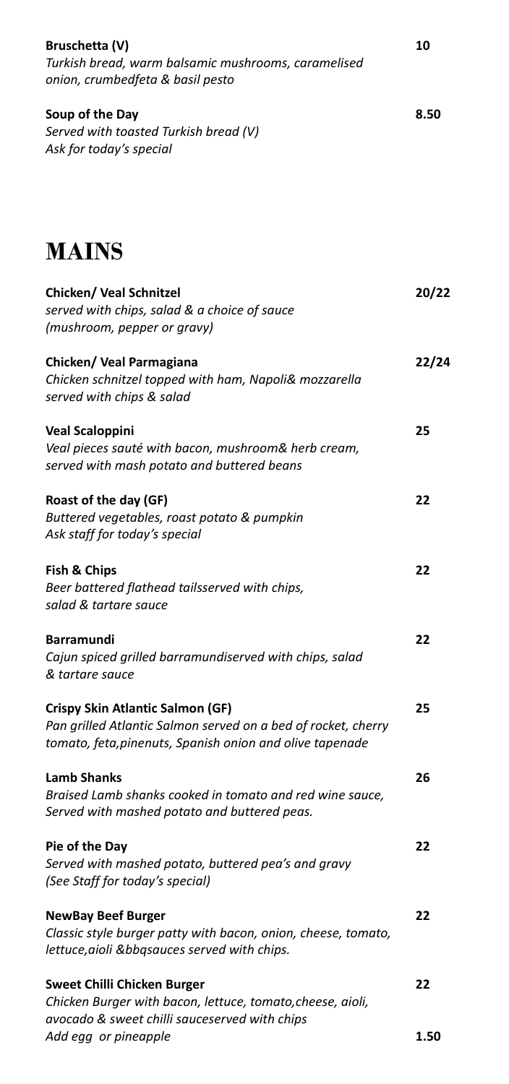| Bruschetta (V)<br>Turkish bread, warm balsamic mushrooms, caramelised<br>onion, crumbedfeta & basil pesto                                                            | 10    |
|----------------------------------------------------------------------------------------------------------------------------------------------------------------------|-------|
| Soup of the Day<br>Served with toasted Turkish bread (V)<br>Ask for today's special                                                                                  | 8.50  |
| <b>MAINS</b>                                                                                                                                                         |       |
| <b>Chicken/ Veal Schnitzel</b><br>served with chips, salad & a choice of sauce<br>(mushroom, pepper or gravy)                                                        | 20/22 |
| Chicken/ Veal Parmagiana<br>Chicken schnitzel topped with ham, Napoli& mozzarella<br>served with chips & salad                                                       | 22/24 |
| <b>Veal Scaloppini</b><br>Veal pieces sauté with bacon, mushroom& herb cream,<br>served with mash potato and buttered beans                                          | 25    |
| Roast of the day (GF)<br>Buttered vegetables, roast potato & pumpkin<br>Ask staff for today's special                                                                | 22    |
| Fish & Chips<br>Beer battered flathead tailsserved with chips,<br>salad & tartare sauce                                                                              | 22    |
| <b>Barramundi</b><br>Cajun spiced grilled barramundiserved with chips, salad<br>& tartare sauce                                                                      | 22    |
| <b>Crispy Skin Atlantic Salmon (GF)</b><br>Pan grilled Atlantic Salmon served on a bed of rocket, cherry<br>tomato, feta, pinenuts, Spanish onion and olive tapenade | 25    |
| <b>Lamb Shanks</b><br>Braised Lamb shanks cooked in tomato and red wine sauce,<br>Served with mashed potato and buttered peas.                                       | 26    |
| Pie of the Day<br>Served with mashed potato, buttered pea's and gravy<br>(See Staff for today's special)                                                             | 22    |
| <b>NewBay Beef Burger</b><br>Classic style burger patty with bacon, onion, cheese, tomato,<br>lettuce, aioli & bbqsauces served with chips.                          | 22    |
| Sweet Chilli Chicken Burger<br>Chicken Burger with bacon, lettuce, tomato, cheese, aioli,<br>avocado & sweet chilli sauceserved with chips                           | 22    |
| Add egg or pineapple                                                                                                                                                 | 1.50  |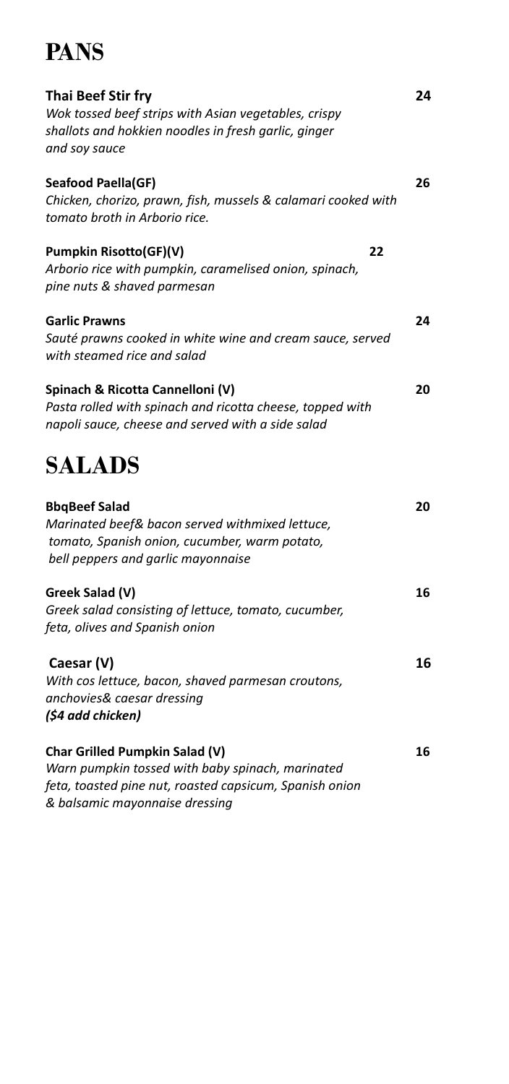## **PANS**

| <b>Thai Beef Stir fry</b><br>Wok tossed beef strips with Asian vegetables, crispy<br>shallots and hokkien noodles in fresh garlic, ginger<br>and soy sauce     | 24 |
|----------------------------------------------------------------------------------------------------------------------------------------------------------------|----|
| Seafood Paella(GF)<br>Chicken, chorizo, prawn, fish, mussels & calamari cooked with<br>tomato broth in Arborio rice.                                           | 26 |
| Pumpkin Risotto(GF)(V)<br>22<br>Arborio rice with pumpkin, caramelised onion, spinach,<br>pine nuts & shaved parmesan                                          |    |
| <b>Garlic Prawns</b><br>Sauté prawns cooked in white wine and cream sauce, served<br>with steamed rice and salad                                               | 24 |
| Spinach & Ricotta Cannelloni (V)<br>Pasta rolled with spinach and ricotta cheese, topped with<br>napoli sauce, cheese and served with a side salad             | 20 |
| <b>SALADS</b>                                                                                                                                                  |    |
| <b>BbqBeef Salad</b><br>Marinated beef& bacon served withmixed lettuce,<br>tomato, Spanish onion, cucumber, warm potato,<br>bell peppers and garlic mayonnaise | 20 |
| Greek Salad (V)<br>Greek salad consisting of lettuce, tomato, cucumber,<br>feta, olives and Spanish onion                                                      | 16 |
| Caesar (V)<br>With cos lettuce, bacon, shaved parmesan croutons,<br>anchovies& caesar dressing<br>(\$4 add chicken)                                            | 16 |
| Char Grilled Pumpkin Salad (V)<br>Warn pumpkin tossed with baby spinach, marinated                                                                             | 16 |

*feta, toasted pine nut, roasted capsicum, Spanish onion & balsamic mayonnaise dressing*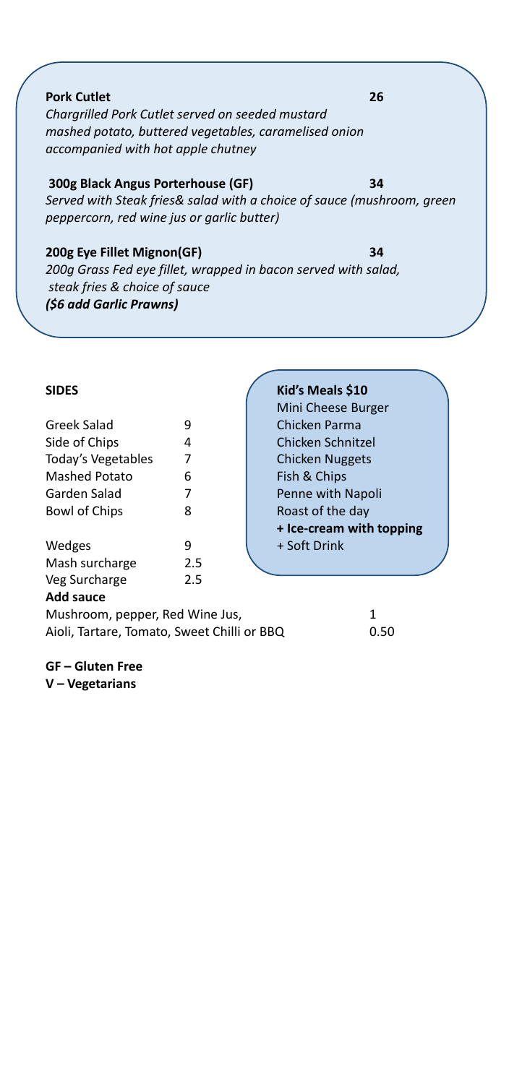**Pork Cutlet 26** *Chargrilled Pork Cutlet served on seeded mustard mashed potato, buttered vegetables, caramelised onion accompanied with hot apple chutney*

#### **300g Black Angus Porterhouse (GF) 34**

*Served with Steak fries& salad with a choice of sauce (mushroom, green peppercorn, red wine jus or garlic butter)*

#### **200g Eye Fillet Mignon(GF) 34**

*200g Grass Fed eye fillet, wrapped in bacon served with salad, steak fries & choice of sauce (\$6 add Garlic Prawns)* 

| Greek Salad          | 9   |
|----------------------|-----|
| Side of Chips        | 4   |
| Today's Vegetables   | 7   |
| <b>Mashed Potato</b> | 6   |
| Garden Salad         | 7   |
| Bowl of Chips        | 8   |
| Wedges               | ٩   |
| Mash surcharge       | 2.5 |
| Veg Surcharge        | 2.5 |
| ᇫᆚᅬ<br>$- - - -$     |     |

#### **Add sauce**

**GF – Gluten Free V – Vegetarians**

Mushroom, pepper, Red Wine Jus, 1 Aioli, Tartare, Tomato, Sweet Chilli or BBQ 0.50

#### **SIDES Kid's Meals \$10**

 Mini Cheese Burger Chicken Parma **Chicken Schnitzel Chicken Nuggets** Fish & Chips Penne with Napoli Roast of the day **+ Ice‐cream with topping** + Soft Drink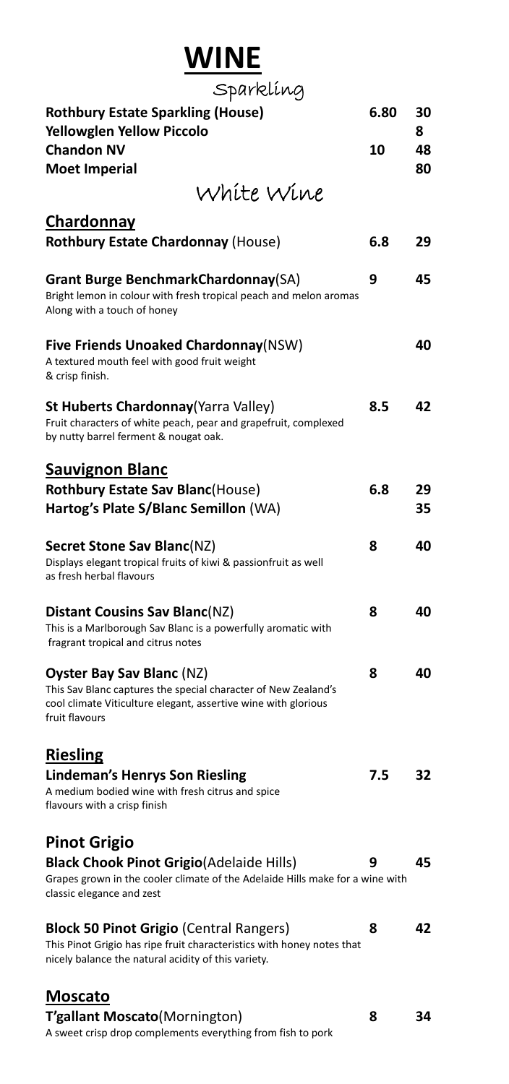# **WINE**

| Sparklíng                                                                                                                                                                              |      |          |
|----------------------------------------------------------------------------------------------------------------------------------------------------------------------------------------|------|----------|
| <b>Rothbury Estate Sparkling (House)</b><br><b>Yellowglen Yellow Piccolo</b>                                                                                                           | 6.80 | 30<br>8  |
| <b>Chandon NV</b><br><b>Moet Imperial</b>                                                                                                                                              | 10   | 48<br>80 |
| White Wine                                                                                                                                                                             |      |          |
| Chardonnay                                                                                                                                                                             |      |          |
| Rothbury Estate Chardonnay (House)                                                                                                                                                     | 6.8  | 29       |
| <b>Grant Burge BenchmarkChardonnay(SA)</b><br>Bright lemon in colour with fresh tropical peach and melon aromas<br>Along with a touch of honey                                         | 9    | 45       |
| <b>Five Friends Unoaked Chardonnay (NSW)</b><br>A textured mouth feel with good fruit weight<br>& crisp finish.                                                                        |      | 40       |
| <b>St Huberts Chardonnay</b> (Yarra Valley)<br>Fruit characters of white peach, pear and grapefruit, complexed<br>by nutty barrel ferment & nougat oak.                                | 8.5  | 42       |
| <b>Sauvignon Blanc</b>                                                                                                                                                                 |      |          |
| <b>Rothbury Estate Sav Blanc(House)</b><br>Hartog's Plate S/Blanc Semillon (WA)                                                                                                        | 6.8  | 29<br>35 |
| <b>Secret Stone Sav Blanc(NZ)</b><br>Displays elegant tropical fruits of kiwi & passionfruit as well<br>as fresh herbal flavours                                                       | 8    | 40       |
| Distant Cousins Sav Blanc(NZ)<br>This is a Marlborough Sav Blanc is a powerfully aromatic with<br>fragrant tropical and citrus notes                                                   | 8    | 40       |
| <b>Oyster Bay Sav Blanc (NZ)</b><br>This Sav Blanc captures the special character of New Zealand's<br>cool climate Viticulture elegant, assertive wine with glorious<br>fruit flavours | 8    | 40       |
| <b>Riesling</b>                                                                                                                                                                        |      |          |
| <b>Lindeman's Henrys Son Riesling</b><br>A medium bodied wine with fresh citrus and spice<br>flavours with a crisp finish                                                              | 7.5  | 32       |
| <b>Pinot Grigio</b>                                                                                                                                                                    |      |          |
| <b>Black Chook Pinot Grigio (Adelaide Hills)</b><br>Grapes grown in the cooler climate of the Adelaide Hills make for a wine with<br>classic elegance and zest                         | 9    | 45       |
| <b>Block 50 Pinot Grigio (Central Rangers)</b><br>This Pinot Grigio has ripe fruit characteristics with honey notes that<br>nicely balance the natural acidity of this variety.        | 8    | 42       |
| <b>Moscato</b>                                                                                                                                                                         |      |          |
| T'gallant Moscato(Mornington)                                                                                                                                                          | 8    | 34       |

A sweet crisp drop complements everything from fish to pork